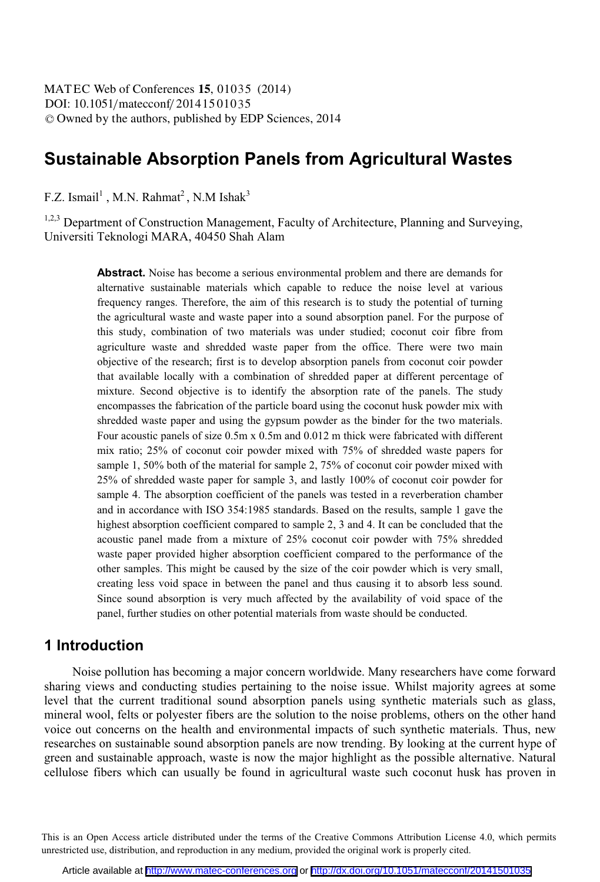# **Sustainable Absorption Panels from Agricultural Wastes**

F.Z. Ismail<sup>1</sup>, M.N. Rahmat<sup>2</sup>, N.M Ishak<sup>3</sup>

<sup>1,2,3</sup> Department of Construction Management, Faculty of Architecture, Planning and Surveying, Universiti Teknologi MARA, 40450 Shah Alam

> **Abstract.** Noise has become a serious environmental problem and there are demands for alternative sustainable materials which capable to reduce the noise level at various frequency ranges. Therefore, the aim of this research is to study the potential of turning the agricultural waste and waste paper into a sound absorption panel. For the purpose of this study, combination of two materials was under studied; coconut coir fibre from agriculture waste and shredded waste paper from the office. There were two main objective of the research; first is to develop absorption panels from coconut coir powder that available locally with a combination of shredded paper at different percentage of mixture. Second objective is to identify the absorption rate of the panels. The study encompasses the fabrication of the particle board using the coconut husk powder mix with shredded waste paper and using the gypsum powder as the binder for the two materials. Four acoustic panels of size 0.5m x 0.5m and 0.012 m thick were fabricated with different mix ratio; 25% of coconut coir powder mixed with 75% of shredded waste papers for sample 1, 50% both of the material for sample 2, 75% of coconut coir powder mixed with 25% of shredded waste paper for sample 3, and lastly 100% of coconut coir powder for sample 4. The absorption coefficient of the panels was tested in a reverberation chamber and in accordance with ISO 354:1985 standards. Based on the results, sample 1 gave the highest absorption coefficient compared to sample 2, 3 and 4. It can be concluded that the acoustic panel made from a mixture of 25% coconut coir powder with 75% shredded waste paper provided higher absorption coefficient compared to the performance of the other samples. This might be caused by the size of the coir powder which is very small, creating less void space in between the panel and thus causing it to absorb less sound. Since sound absorption is very much affected by the availability of void space of the panel, further studies on other potential materials from waste should be conducted.

### **1 Introduction**

Noise pollution has becoming a major concern worldwide. Many researchers have come forward sharing views and conducting studies pertaining to the noise issue. Whilst majority agrees at some level that the current traditional sound absorption panels using synthetic materials such as glass, mineral wool, felts or polyester fibers are the solution to the noise problems, others on the other hand voice out concerns on the health and environmental impacts of such synthetic materials. Thus, new researches on sustainable sound absorption panels are now trending. By looking at the current hype of green and sustainable approach, waste is now the major highlight as the possible alternative. Natural cellulose fibers which can usually be found in agricultural waste such coconut husk has proven in

This is an Open Access article distributed under the terms of the Creative Commons Attribution License 4.0, which permits unrestricted use, distribution, and reproduction in any medium, provided the original work is properly cited.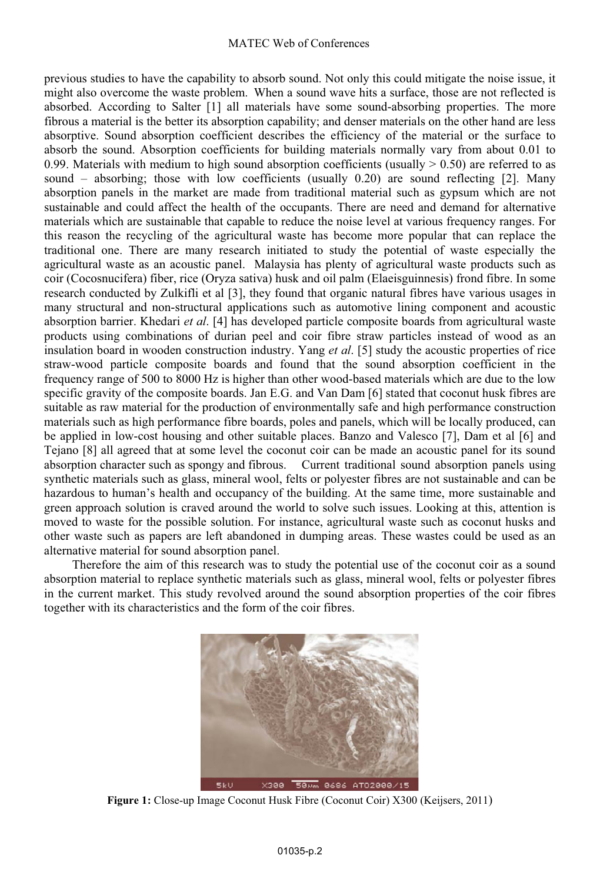#### MATEC Web of Conferences

previous studies to have the capability to absorb sound. Not only this could mitigate the noise issue, it might also overcome the waste problem. When a sound wave hits a surface, those are not reflected is absorbed. According to Salter [1] all materials have some sound-absorbing properties. The more fibrous a material is the better its absorption capability; and denser materials on the other hand are less absorptive. Sound absorption coefficient describes the efficiency of the material or the surface to absorb the sound. Absorption coefficients for building materials normally vary from about 0.01 to 0.99. Materials with medium to high sound absorption coefficients (usually  $> 0.50$ ) are referred to as sound – absorbing; those with low coefficients (usually  $0.20$ ) are sound reflecting [2]. Many absorption panels in the market are made from traditional material such as gypsum which are not sustainable and could affect the health of the occupants. There are need and demand for alternative materials which are sustainable that capable to reduce the noise level at various frequency ranges. For this reason the recycling of the agricultural waste has become more popular that can replace the traditional one. There are many research initiated to study the potential of waste especially the agricultural waste as an acoustic panel. Malaysia has plenty of agricultural waste products such as coir (Cocosnucifera) fiber, rice (Oryza sativa) husk and oil palm (Elaeisguinnesis) frond fibre. In some research conducted by Zulkifli et al [3], they found that organic natural fibres have various usages in many structural and non-structural applications such as automotive lining component and acoustic absorption barrier. Khedari *et al*. [4] has developed particle composite boards from agricultural waste products using combinations of durian peel and coir fibre straw particles instead of wood as an insulation board in wooden construction industry. Yang *et al*. [5] study the acoustic properties of rice straw-wood particle composite boards and found that the sound absorption coefficient in the frequency range of 500 to 8000 Hz is higher than other wood-based materials which are due to the low specific gravity of the composite boards. Jan E.G. and Van Dam [6] stated that coconut husk fibres are suitable as raw material for the production of environmentally safe and high performance construction materials such as high performance fibre boards, poles and panels, which will be locally produced, can be applied in low-cost housing and other suitable places. Banzo and Valesco [7], Dam et al [6] and Tejano [8] all agreed that at some level the coconut coir can be made an acoustic panel for its sound absorption character such as spongy and fibrous. Current traditional sound absorption panels using synthetic materials such as glass, mineral wool, felts or polyester fibres are not sustainable and can be hazardous to human's health and occupancy of the building. At the same time, more sustainable and green approach solution is craved around the world to solve such issues. Looking at this, attention is moved to waste for the possible solution. For instance, agricultural waste such as coconut husks and other waste such as papers are left abandoned in dumping areas. These wastes could be used as an alternative material for sound absorption panel.

Therefore the aim of this research was to study the potential use of the coconut coir as a sound absorption material to replace synthetic materials such as glass, mineral wool, felts or polyester fibres in the current market. This study revolved around the sound absorption properties of the coir fibres together with its characteristics and the form of the coir fibres.



**Figure 1:** Close-up Image Coconut Husk Fibre (Coconut Coir) X300 (Keijsers, 2011)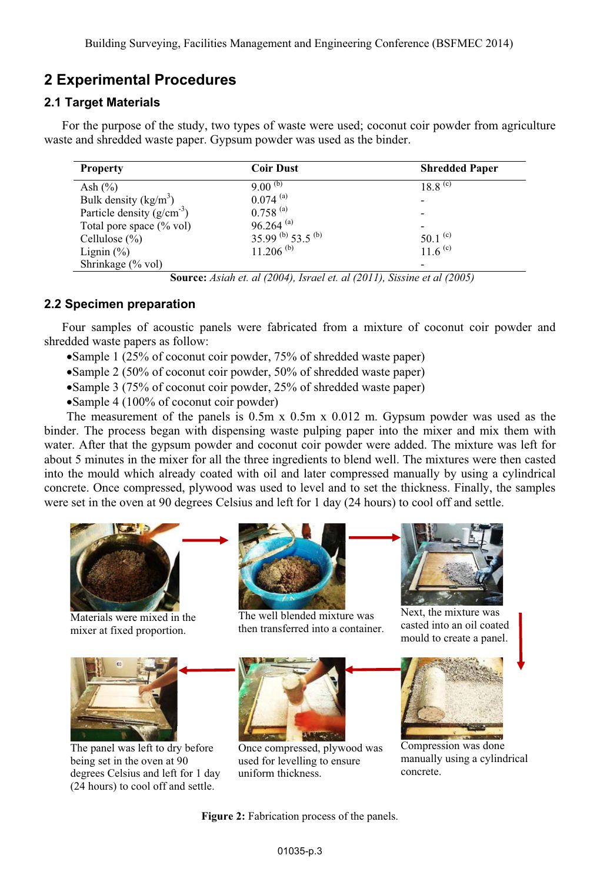# **2 Experimental Procedures**

### **2.1 Target Materials**

For the purpose of the study, two types of waste were used; coconut coir powder from agriculture waste and shredded waste paper. Gypsum powder was used as the binder.

| <b>Property</b>                | <b>Coir Dust</b>   | <b>Shredded Paper</b>    |
|--------------------------------|--------------------|--------------------------|
| Ash $(\% )$                    | $9.00^{(b)}$       | $18.8^{\sqrt{c}}$        |
| Bulk density $(kg/m^3)$        | $0.074^{(a)}$      |                          |
| Particle density $(g/cm^{-3})$ | $0.758^{(a)}$      |                          |
| Total pore space (% vol)       | $96.264^{(a)}$     |                          |
| Cellulose $(\%)$               | 35.99 (b) 53.5 (b) | 50.1 $(c)$               |
| Lignin $(\%)$                  | $11.206^{(b)}$     | $11.6^{(c)}$             |
| Shrinkage (% vol)              |                    | $\overline{\phantom{0}}$ |

**Source:** *Asiah et. al (2004), Israel et. al (2011), Sissine et al (2005)* 

### **2.2 Specimen preparation**

Four samples of acoustic panels were fabricated from a mixture of coconut coir powder and shredded waste papers as follow:

- -Sample 1 (25% of coconut coir powder, 75% of shredded waste paper)
- -Sample 2 (50% of coconut coir powder, 50% of shredded waste paper)
- -Sample 3 (75% of coconut coir powder, 25% of shredded waste paper)
- -Sample 4 (100% of coconut coir powder)

The measurement of the panels is  $0.5m \times 0.5m \times 0.012$  m. Gypsum powder was used as the binder. The process began with dispensing waste pulping paper into the mixer and mix them with water. After that the gypsum powder and coconut coir powder were added. The mixture was left for about 5 minutes in the mixer for all the three ingredients to blend well. The mixtures were then casted into the mould which already coated with oil and later compressed manually by using a cylindrical concrete. Once compressed, plywood was used to level and to set the thickness. Finally, the samples were set in the oven at 90 degrees Celsius and left for 1 day (24 hours) to cool off and settle.



Materials were mixed in the mixer at fixed proportion.



The panel was left to dry before being set in the oven at 90 degrees Celsius and left for 1 day (24 hours) to cool off and settle.



The well blended mixture was then transferred into a container.



Once compressed, plywood was used for levelling to ensure uniform thickness.



Next, the mixture was casted into an oil coated mould to create a panel.



Compression was done manually using a cylindrical concrete.

**Figure 2:** Fabrication process of the panels.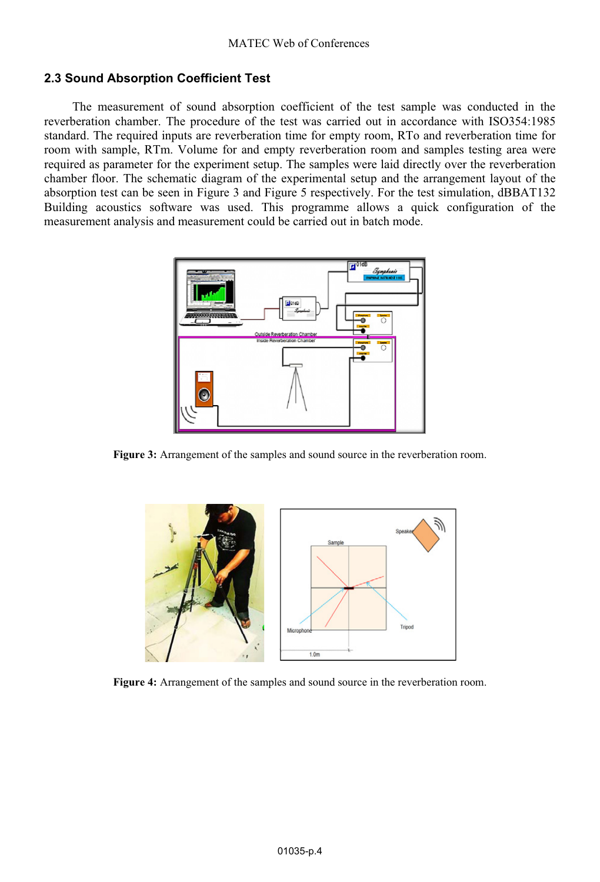#### **2.3 Sound Absorption Coefficient Test**

The measurement of sound absorption coefficient of the test sample was conducted in the reverberation chamber. The procedure of the test was carried out in accordance with ISO354:1985 standard. The required inputs are reverberation time for empty room, RTo and reverberation time for room with sample, RTm. Volume for and empty reverberation room and samples testing area were required as parameter for the experiment setup. The samples were laid directly over the reverberation chamber floor. The schematic diagram of the experimental setup and the arrangement layout of the absorption test can be seen in Figure 3 and Figure 5 respectively. For the test simulation, dBBAT132 Building acoustics software was used. This programme allows a quick configuration of the measurement analysis and measurement could be carried out in batch mode.



**Figure 3:** Arrangement of the samples and sound source in the reverberation room.



**Figure 4:** Arrangement of the samples and sound source in the reverberation room.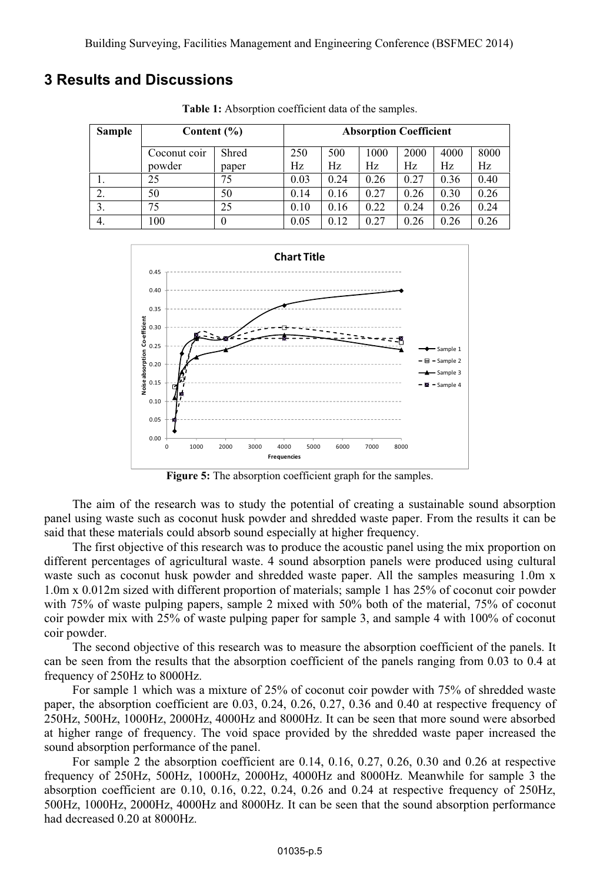### **3 Results and Discussions**

| Sample | Content $(\% )$ |       | <b>Absorption Coefficient</b> |      |      |      |      |      |
|--------|-----------------|-------|-------------------------------|------|------|------|------|------|
|        | Coconut coir    | Shred | 250                           | 500  | 1000 | 2000 | 4000 | 8000 |
|        | powder          | paper | Hz                            | Hz   | Hz   | Hz   | Hz   | Hz   |
| 1.     | 25              | 75    | 0.03                          | 0.24 | 0.26 | 0.27 | 0.36 | 0.40 |
| 2.     | 50              | 50    | 0.14                          | 0.16 | 0.27 | 0.26 | 0.30 | 0.26 |
| 3.     | 75              | 25    | 0.10                          | 0.16 | 0.22 | 0.24 | 0.26 | 0.24 |
| 4.     | 100             | 0     | 0.05                          | 0.12 | 0.27 | 0.26 | 0.26 | 0.26 |

**Table 1:** Absorption coefficient data of the samples.



**Figure 5:** The absorption coefficient graph for the samples.

The aim of the research was to study the potential of creating a sustainable sound absorption panel using waste such as coconut husk powder and shredded waste paper. From the results it can be said that these materials could absorb sound especially at higher frequency.

The first objective of this research was to produce the acoustic panel using the mix proportion on different percentages of agricultural waste. 4 sound absorption panels were produced using cultural waste such as coconut husk powder and shredded waste paper. All the samples measuring 1.0m x 1.0m x 0.012m sized with different proportion of materials; sample 1 has 25% of coconut coir powder with 75% of waste pulping papers, sample 2 mixed with 50% both of the material, 75% of coconut coir powder mix with 25% of waste pulping paper for sample 3, and sample 4 with 100% of coconut coir powder.

The second objective of this research was to measure the absorption coefficient of the panels. It can be seen from the results that the absorption coefficient of the panels ranging from 0.03 to 0.4 at frequency of 250Hz to 8000Hz.

For sample 1 which was a mixture of 25% of coconut coir powder with 75% of shredded waste paper, the absorption coefficient are 0.03, 0.24, 0.26, 0.27, 0.36 and 0.40 at respective frequency of 250Hz, 500Hz, 1000Hz, 2000Hz, 4000Hz and 8000Hz. It can be seen that more sound were absorbed at higher range of frequency. The void space provided by the shredded waste paper increased the sound absorption performance of the panel.

For sample 2 the absorption coefficient are 0.14, 0.16, 0.27, 0.26, 0.30 and 0.26 at respective frequency of 250Hz, 500Hz, 1000Hz, 2000Hz, 4000Hz and 8000Hz. Meanwhile for sample 3 the absorption coefficient are 0.10, 0.16, 0.22, 0.24, 0.26 and 0.24 at respective frequency of 250Hz, 500Hz, 1000Hz, 2000Hz, 4000Hz and 8000Hz. It can be seen that the sound absorption performance had decreased 0.20 at 8000Hz.